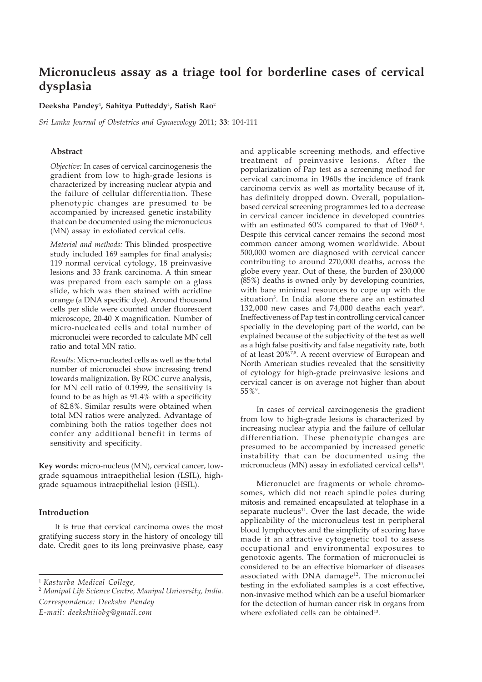# **Micronucleus assay as a triage tool for borderline cases of cervical dysplasia**

**Deeksha Pandey**<sup>1</sup> **, Sahitya Putteddy**<sup>1</sup> **, Satish Rao**<sup>2</sup>

*Sri Lanka Journal of Obstetrics and Gynaecology* 2011; **33**: 104-111

#### **Abstract**

*Objective:* In cases of cervical carcinogenesis the gradient from low to high-grade lesions is characterized by increasing nuclear atypia and the failure of cellular differentiation. These phenotypic changes are presumed to be accompanied by increased genetic instability that can be documented using the micronucleus (MN) assay in exfoliated cervical cells.

*Material and methods:* This blinded prospective study included 169 samples for final analysis; 119 normal cervical cytology, 18 preinvasive lesions and 33 frank carcinoma. A thin smear was prepared from each sample on a glass slide, which was then stained with acridine orange (a DNA specific dye). Around thousand cells per slide were counted under fluorescent microscope, 20-40 X magnification. Number of micro-nucleated cells and total number of micronuclei were recorded to calculate MN cell ratio and total MN ratio.

*Results:* Micro-nucleated cells as well as the total number of micronuclei show increasing trend towards malignization. By ROC curve analysis, for MN cell ratio of 0.1999, the sensitivity is found to be as high as 91.4% with a specificity of 82.8%. Similar results were obtained when total MN ratios were analyzed. Advantage of combining both the ratios together does not confer any additional benefit in terms of sensitivity and specificity.

**Key words:** micro-nucleus (MN), cervical cancer, lowgrade squamous intraepithelial lesion (LSIL), highgrade squamous intraepithelial lesion (HSIL).

# **Introduction**

It is true that cervical carcinoma owes the most gratifying success story in the history of oncology till date. Credit goes to its long preinvasive phase, easy

<sup>1</sup> *Kasturba Medical College,*

<sup>2</sup> *Manipal Life Science Centre, Manipal University, India. Correspondence: Deeksha Pandey E-mail: deekshiiiobg@gmail.com*

and applicable screening methods, and effective treatment of preinvasive lesions. After the popularization of Pap test as a screening method for cervical carcinoma in 1960s the incidence of frank carcinoma cervix as well as mortality because of it, has definitely dropped down. Overall, populationbased cervical screening programmes led to a decrease in cervical cancer incidence in developed countries with an estimated 60% compared to that of 1960<sup>14</sup>. Despite this cervical cancer remains the second most common cancer among women worldwide. About 500,000 women are diagnosed with cervical cancer contributing to around 270,000 deaths, across the globe every year. Out of these, the burden of 230,000 (85%) deaths is owned only by developing countries, with bare minimal resources to cope up with the situation<sup>5</sup>. In India alone there are an estimated  $132,000$  new cases and  $74,000$  deaths each year<sup>6</sup>. Ineffectiveness of Pap test in controlling cervical cancer specially in the developing part of the world, can be explained because of the subjectivity of the test as well as a high false positivity and false negativity rate, both of at least 20%<sup>7,8</sup>. A recent overview of European and North American studies revealed that the sensitivity of cytology for high-grade preinvasive lesions and cervical cancer is on average not higher than about 55%9.

In cases of cervical carcinogenesis the gradient from low to high-grade lesions is characterized by increasing nuclear atypia and the failure of cellular differentiation. These phenotypic changes are presumed to be accompanied by increased genetic instability that can be documented using the micronucleus (MN) assay in exfoliated cervical cells<sup>10</sup>.

Micronuclei are fragments or whole chromosomes, which did not reach spindle poles during mitosis and remained encapsulated at telophase in a separate nucleus $11$ . Over the last decade, the wide applicability of the micronucleus test in peripheral blood lymphocytes and the simplicity of scoring have made it an attractive cytogenetic tool to assess occupational and environmental exposures to genotoxic agents. The formation of micronuclei is considered to be an effective biomarker of diseases associated with DNA damage<sup>12</sup>. The micronuclei testing in the exfoliated samples is a cost effective, non-invasive method which can be a useful biomarker for the detection of human cancer risk in organs from where exfoliated cells can be obtained<sup>13</sup>.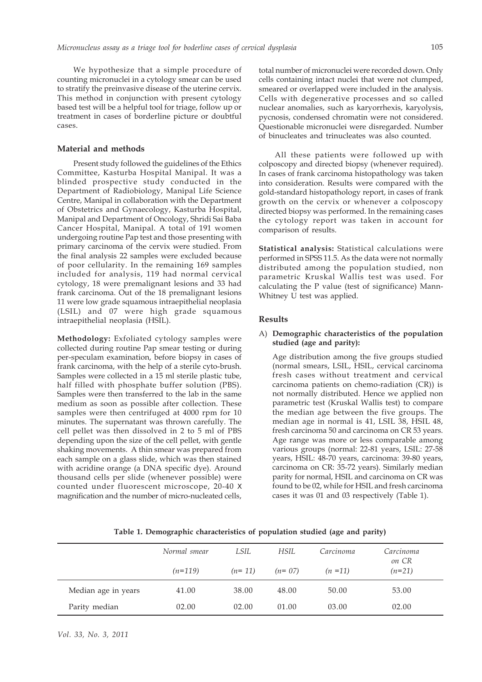We hypothesize that a simple procedure of counting micronuclei in a cytology smear can be used to stratify the preinvasive disease of the uterine cervix. This method in conjunction with present cytology based test will be a helpful tool for triage, follow up or treatment in cases of borderline picture or doubtful cases.

# **Material and methods**

Present study followed the guidelines of the Ethics Committee, Kasturba Hospital Manipal. It was a blinded prospective study conducted in the Department of Radiobiology, Manipal Life Science Centre, Manipal in collaboration with the Department of Obstetrics and Gynaecology, Kasturba Hospital, Manipal and Department of Oncology, Shridi Sai Baba Cancer Hospital, Manipal. A total of 191 women undergoing routine Pap test and those presenting with primary carcinoma of the cervix were studied. From the final analysis 22 samples were excluded because of poor cellularity. In the remaining 169 samples included for analysis, 119 had normal cervical cytology, 18 were premalignant lesions and 33 had frank carcinoma. Out of the 18 premalignant lesions 11 were low grade squamous intraepithelial neoplasia (LSIL) and 07 were high grade squamous intraepithelial neoplasia (HSIL).

**Methodology:** Exfoliated cytology samples were collected during routine Pap smear testing or during per-speculam examination, before biopsy in cases of frank carcinoma, with the help of a sterile cyto-brush. Samples were collected in a 15 ml sterile plastic tube, half filled with phosphate buffer solution (PBS). Samples were then transferred to the lab in the same medium as soon as possible after collection. These samples were then centrifuged at 4000 rpm for 10 minutes. The supernatant was thrown carefully. The cell pellet was then dissolved in 2 to 5 ml of PBS depending upon the size of the cell pellet, with gentle shaking movements. A thin smear was prepared from each sample on a glass slide, which was then stained with acridine orange (a DNA specific dye). Around thousand cells per slide (whenever possible) were counted under fluorescent microscope, 20-40 X magnification and the number of micro-nucleated cells,

total number of micronuclei were recorded down. Only cells containing intact nuclei that were not clumped, smeared or overlapped were included in the analysis. Cells with degenerative processes and so called nuclear anomalies, such as karyorrhexis, karyolysis, pycnosis, condensed chromatin were not considered. Questionable micronuclei were disregarded. Number of binucleates and trinucleates was also counted.

All these patients were followed up with colposcopy and directed biopsy (whenever required). In cases of frank carcinoma histopathology was taken into consideration. Results were compared with the gold-standard histopathology report, in cases of frank growth on the cervix or whenever a colposcopy directed biopsy was performed. In the remaining cases the cytology report was taken in account for comparison of results.

**Statistical analysis:** Statistical calculations were performed in SPSS 11.5. As the data were not normally distributed among the population studied, non parametric Kruskal Wallis test was used. For calculating the P value (test of significance) Mann-Whitney U test was applied.

# **Results**

#### A) **Demographic characteristics of the population studied (age and parity):**

Age distribution among the five groups studied (normal smears, LSIL, HSIL, cervical carcinoma fresh cases without treatment and cervical carcinoma patients on chemo-radiation (CR)) is not normally distributed. Hence we applied non parametric test (Kruskal Wallis test) to compare the median age between the five groups. The median age in normal is 41, LSIL 38, HSIL 48, fresh carcinoma 50 and carcinoma on CR 53 years. Age range was more or less comparable among various groups (normal: 22-81 years, LSIL: 27-58 years, HSIL: 48-70 years, carcinoma: 39-80 years, carcinoma on CR: 35-72 years). Similarly median parity for normal, HSIL and carcinoma on CR was found to be 02, while for HSIL and fresh carcinoma cases it was 01 and 03 respectively (Table 1).

|                     | Normal smear | LSIL     | HSIL.    | Carcinoma  | Carcinoma<br>on CR |
|---------------------|--------------|----------|----------|------------|--------------------|
|                     | $(n=119)$    | $(n=11)$ | $(n=07)$ | $(n = 11)$ | $(n=21)$           |
| Median age in years | 41.00        | 38.00    | 48.00    | 50.00      | 53.00              |
| Parity median       | 02.00        | 02.00    | 01.00    | 03.00      | 02.00              |

**Table 1. Demographic characteristics of population studied (age and parity)**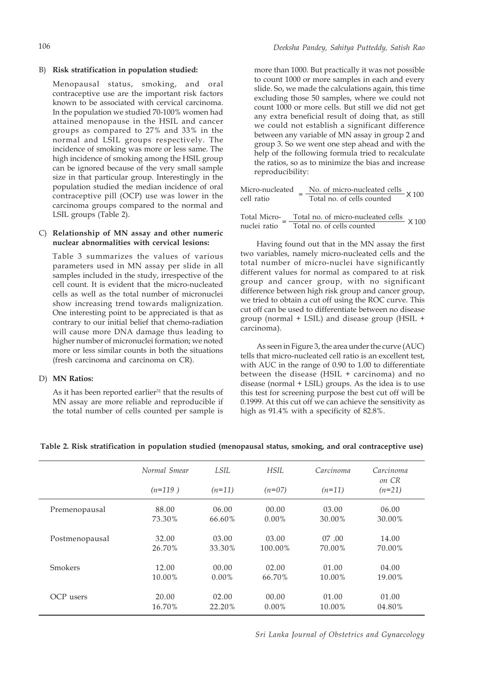#### B) **Risk stratification in population studied:**

Menopausal status, smoking, and oral contraceptive use are the important risk factors known to be associated with cervical carcinoma. In the population we studied 70-100% women had attained menopause in the HSIL and cancer groups as compared to 27% and 33% in the normal and LSIL groups respectively. The incidence of smoking was more or less same. The high incidence of smoking among the HSIL group can be ignored because of the very small sample size in that particular group. Interestingly in the population studied the median incidence of oral contraceptive pill (OCP) use was lower in the carcinoma groups compared to the normal and LSIL groups (Table 2).

#### C) **Relationship of MN assay and other numeric nuclear abnormalities with cervical lesions:**

Table 3 summarizes the values of various parameters used in MN assay per slide in all samples included in the study, irrespective of the cell count. It is evident that the micro-nucleated cells as well as the total number of micronuclei show increasing trend towards malignization. One interesting point to be appreciated is that as contrary to our initial belief that chemo-radiation will cause more DNA damage thus leading to higher number of micronuclei formation; we noted more or less similar counts in both the situations (fresh carcinoma and carcinoma on CR).

#### D) **MN Ratios:**

As it has been reported earlier<sup>31</sup> that the results of MN assay are more reliable and reproducible if the total number of cells counted per sample is more than 1000. But practically it was not possible to count 1000 or more samples in each and every slide. So, we made the calculations again, this time excluding those 50 samples, where we could not count 1000 or more cells. But still we did not get any extra beneficial result of doing that, as still we could not establish a significant difference between any variable of MN assay in group 2 and group 3. So we went one step ahead and with the help of the following formula tried to recalculate the ratios, so as to minimize the bias and increase reproducibility:

| Micro-nucleated<br>cell ratio | No. of micro-nucleated cells $\times 100$<br>Total no. of cells counted               |  |
|-------------------------------|---------------------------------------------------------------------------------------|--|
| nuclei ratio                  | Total Micro- _ Total no. of micro-nucleated cells X 100<br>Total no. of cells counted |  |

Having found out that in the MN assay the first two variables, namely micro-nucleated cells and the total number of micro-nuclei have significantly different values for normal as compared to at risk group and cancer group, with no significant difference between high risk group and cancer group, we tried to obtain a cut off using the ROC curve. This cut off can be used to differentiate between no disease group (normal + LSIL) and disease group (HSIL + carcinoma).

As seen in Figure 3, the area under the curve (AUC) tells that micro-nucleated cell ratio is an excellent test, with AUC in the range of 0.90 to 1.00 to differentiate between the disease (HSIL + carcinoma) and no disease (normal + LSIL) groups. As the idea is to use this test for screening purpose the best cut off will be 0.1999. At this cut off we can achieve the sensitivity as high as 91.4% with a specificity of 82.8%.

|                | Normal Smear | LSIL     | HSIL     | Carcinoma | Carcinoma<br>on CR |
|----------------|--------------|----------|----------|-----------|--------------------|
|                | $(n=119)$    | $(n=11)$ | $(n=07)$ | $(n=11)$  | $(n=21)$           |
| Premenopausal  | 88.00        | 06.00    | 00.00    | 03.00     | 06.00              |
|                | 73.30%       | 66.60%   | $0.00\%$ | 30.00%    | 30.00%             |
| Postmenopausal | 32.00        | 03.00    | 03.00    | 07.00     | 14.00              |
|                | 26.70%       | 33.30%   | 100.00%  | 70.00%    | 70.00%             |
| Smokers        | 12.00        | 00.00    | 02.00    | 01.00     | 04.00              |
|                | 10.00%       | $0.00\%$ | 66.70%   | 10.00%    | 19.00%             |
| OCP users      | 20.00        | 02.00    | 00.00    | 01.00     | 01.00              |
|                | 16.70%       | 22.20%   | $0.00\%$ | 10.00%    | 04.80%             |

# **Table 2. Risk stratification in population studied (menopausal status, smoking, and oral contraceptive use)**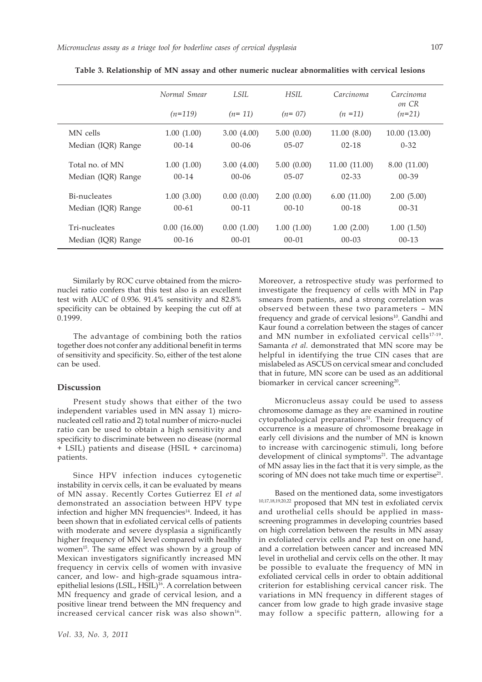|                    | Normal Smear | LSIL.      | HSII.      | Carcinoma    | Carcinoma<br>on CR |
|--------------------|--------------|------------|------------|--------------|--------------------|
|                    | $(n=119)$    | $(n=11)$   | $(n=07)$   | $(n = 11)$   | $(n=21)$           |
| MN cells           | 1.00(1.00)   | 3.00(4.00) | 5.00(0.00) | 11.00(8.00)  | 10.00(13.00)       |
| Median (IQR) Range | $00 - 14$    | $00 - 06$  | $05 - 07$  | $02 - 18$    | $0 - 32$           |
| Total no. of MN    | 1.00(1.00)   | 3.00(4.00) | 5.00(0.00) | 11.00(11.00) | 8.00 (11.00)       |
| Median (IQR) Range | $00 - 14$    | $00 - 06$  | $05 - 07$  | $02 - 33$    | $00 - 39$          |
| Bi-nucleates       | 1.00(3.00)   | 0.00(0.00) | 2.00(0.00) | 6.00(11.00)  | 2.00(5.00)         |
| Median (IQR) Range | $00 - 61$    | $00 - 11$  | $00 - 10$  | $00-18$      | $00 - 31$          |
| Tri-nucleates      | 0.00(16.00)  | 0.00(1.00) | 1.00(1.00) | 1.00(2.00)   | 1.00(1.50)         |
| Median (IQR) Range | $00-16$      | $00 - 01$  | $00 - 01$  | $00 - 03$    | $00 - 13$          |

**Table 3. Relationship of MN assay and other numeric nuclear abnormalities with cervical lesions**

Similarly by ROC curve obtained from the micronuclei ratio confers that this test also is an excellent test with AUC of 0.936. 91.4% sensitivity and 82.8% specificity can be obtained by keeping the cut off at 0.1999.

The advantage of combining both the ratios together does not confer any additional benefit in terms of sensitivity and specificity. So, either of the test alone can be used.

# **Discussion**

Present study shows that either of the two independent variables used in MN assay 1) micronucleated cell ratio and 2) total number of micro-nuclei ratio can be used to obtain a high sensitivity and specificity to discriminate between no disease (normal + LSIL) patients and disease (HSIL + carcinoma) patients.

Since HPV infection induces cytogenetic instability in cervix cells, it can be evaluated by means of MN assay. Recently Cortes Gutierrez EI *et al* demonstrated an association between HPV type infection and higher MN frequencies<sup>14</sup>. Indeed, it has been shown that in exfoliated cervical cells of patients with moderate and severe dysplasia a significantly higher frequency of MN level compared with healthy women<sup>15</sup>. The same effect was shown by a group of Mexican investigators significantly increased MN frequency in cervix cells of women with invasive cancer, and low- and high-grade squamous intraepithelial lesions (LSIL, HSIL)16. A correlation between MN frequency and grade of cervical lesion, and a positive linear trend between the MN frequency and increased cervical cancer risk was also shown $16$ .

Moreover, a retrospective study was performed to investigate the frequency of cells with MN in Pap smears from patients, and a strong correlation was observed between these two parameters – MN frequency and grade of cervical lesions<sup>10</sup>. Gandhi and Kaur found a correlation between the stages of cancer and MN number in exfoliated cervical cells<sup>17-19</sup>. Samanta *et al.* demonstrated that MN score may be helpful in identifying the true CIN cases that are mislabeled as ASCUS on cervical smear and concluded that in future, MN score can be used as an additional biomarker in cervical cancer screening<sup>20</sup>.

Micronucleus assay could be used to assess chromosome damage as they are examined in routine cytopathological preparations<sup>21</sup>. Their frequency of occurrence is a measure of chromosome breakage in early cell divisions and the number of MN is known to increase with carcinogenic stimuli, long before development of clinical symptoms $21$ . The advantage of MN assay lies in the fact that it is very simple, as the scoring of MN does not take much time or expertise<sup>21</sup>.

Based on the mentioned data, some investigators 10,17,18,19,20,22 proposed that MN test in exfoliated cervix and urothelial cells should be applied in massscreening programmes in developing countries based on high correlation between the results in MN assay in exfoliated cervix cells and Pap test on one hand, and a correlation between cancer and increased MN level in urothelial and cervix cells on the other. It may be possible to evaluate the frequency of MN in exfoliated cervical cells in order to obtain additional criterion for establishing cervical cancer risk. The variations in MN frequency in different stages of cancer from low grade to high grade invasive stage may follow a specific pattern, allowing for a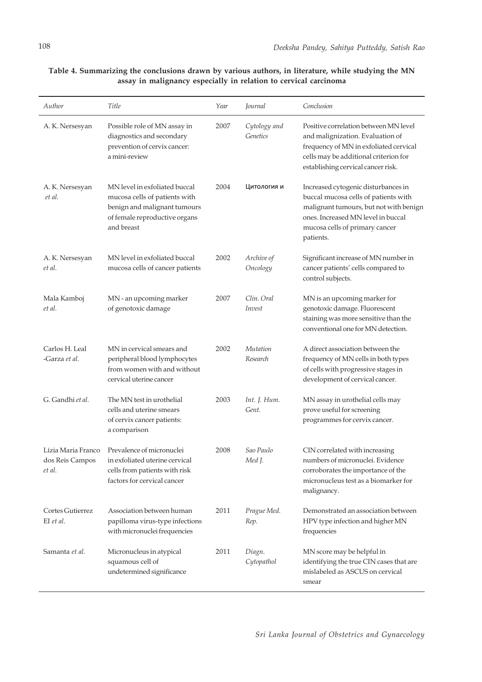**Table 4. Summarizing the conclusions drawn by various authors, in literature, while studying the MN assay in malignancy especially in relation to cervical carcinoma**

| Author                                          | Title                                                                                                                                         | Year | Journal                     | Conclusion                                                                                                                                                                                                 |
|-------------------------------------------------|-----------------------------------------------------------------------------------------------------------------------------------------------|------|-----------------------------|------------------------------------------------------------------------------------------------------------------------------------------------------------------------------------------------------------|
| A. K. Nersesyan                                 | Possible role of MN assay in<br>diagnostics and secondary<br>prevention of cervix cancer:<br>a mini-review                                    | 2007 | Cytology and<br>Genetics    | Positive correlation between MN level<br>and malignization. Evaluation of<br>frequency of MN in exfoliated cervical<br>cells may be additional criterion for<br>establishing cervical cancer risk.         |
| A.K. Nersesyan<br>et al.                        | MN level in exfoliated buccal<br>mucosa cells of patients with<br>benign and malignant tumours<br>of female reproductive organs<br>and breast | 2004 | Цитология и                 | Increased cytogenic disturbances in<br>buccal mucosa cells of patients with<br>malignant tumours, but not with benign<br>ones. Increased MN level in buccal<br>mucosa cells of primary cancer<br>patients. |
| A. K. Nersesyan<br>et al.                       | MN level in exfoliated buccal<br>mucosa cells of cancer patients                                                                              | 2002 | Archive of<br>Oncology      | Significant increase of MN number in<br>cancer patients' cells compared to<br>control subjects.                                                                                                            |
| Mala Kamboj<br>et al.                           | MN - an upcoming marker<br>of genotoxic damage                                                                                                | 2007 | Clin. Oral<br><i>Invest</i> | MN is an upcoming marker for<br>genotoxic damage. Fluorescent<br>staining was more sensitive than the<br>conventional one for MN detection.                                                                |
| Carlos H. Leal<br>-Garza et al.                 | MN in cervical smears and<br>peripheral blood lymphocytes<br>from women with and without<br>cervical uterine cancer                           | 2002 | Mutation<br>Research        | A direct association between the<br>frequency of MN cells in both types<br>of cells with progressive stages in<br>development of cervical cancer.                                                          |
| G. Gandhi et al.                                | The MN test in urothelial<br>cells and uterine smears<br>of cervix cancer patients:<br>a comparison                                           | 2003 | Int. J. Hum.<br>Gent.       | MN assay in urothelial cells may<br>prove useful for screening<br>programmes for cervix cancer.                                                                                                            |
| Lízia Maria Franco<br>dos Reis Campos<br>et al. | Prevalence of micronuclei<br>in exfoliated uterine cervical<br>cells from patients with risk<br>factors for cervical cancer                   | 2008 | Sao Paulo<br>Med J.         | CIN correlated with increasing<br>numbers of micronuclei. Evidence<br>corroborates the importance of the<br>micronucleus test as a biomarker for<br>malignancy.                                            |
| Cortes Gutierrez<br>EI et al.                   | Association between human<br>papilloma virus-type infections<br>with micronuclei frequencies                                                  | 2011 | Prague Med.<br>Rep.         | Demonstrated an association between<br>HPV type infection and higher MN<br>frequencies                                                                                                                     |
| Samanta et al.                                  | Micronucleus in atypical<br>squamous cell of<br>undetermined significance                                                                     | 2011 | Diagn.<br>Cytopathol        | MN score may be helpful in<br>identifying the true CIN cases that are<br>mislabeled as ASCUS on cervical<br>smear                                                                                          |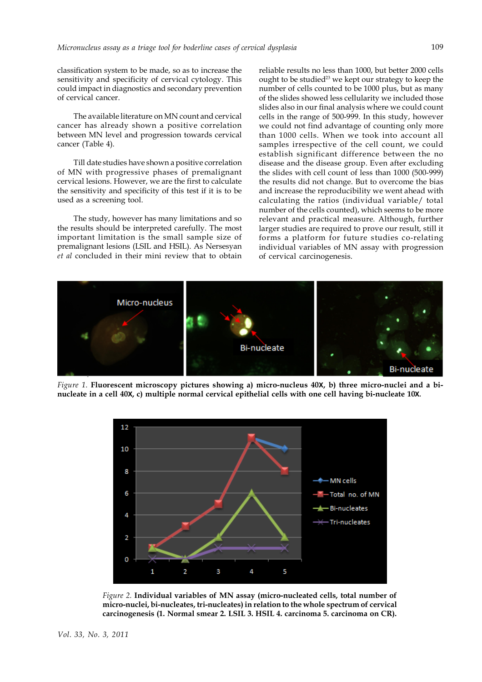classification system to be made, so as to increase the sensitivity and specificity of cervical cytology. This could impact in diagnostics and secondary prevention of cervical cancer.

The available literature on MN count and cervical cancer has already shown a positive correlation between MN level and progression towards cervical cancer (Table 4).

Till date studies have shown a positive correlation of MN with progressive phases of premalignant cervical lesions. However, we are the first to calculate the sensitivity and specificity of this test if it is to be used as a screening tool.

The study, however has many limitations and so the results should be interpreted carefully. The most important limitation is the small sample size of premalignant lesions (LSIL and HSIL). As Nersesyan *et al* concluded in their mini review that to obtain reliable results no less than 1000, but better 2000 cells ought to be studied<sup>23</sup> we kept our strategy to keep the number of cells counted to be 1000 plus, but as many of the slides showed less cellularity we included those slides also in our final analysis where we could count cells in the range of 500-999. In this study, however we could not find advantage of counting only more than 1000 cells. When we took into account all samples irrespective of the cell count, we could establish significant difference between the no disease and the disease group. Even after excluding the slides with cell count of less than 1000 (500-999) the results did not change. But to overcome the bias and increase the reproducibility we went ahead with calculating the ratios (individual variable/ total number of the cells counted), which seems to be more relevant and practical measure. Although, further larger studies are required to prove our result, still it forms a platform for future studies co-relating individual variables of MN assay with progression of cervical carcinogenesis.



*Figure 1.* **Fluorescent microscopy pictures showing a) micro-nucleus 40X, b) three micro-nuclei and a binucleate in a cell 40X, c) multiple normal cervical epithelial cells with one cell having bi-nucleate 10X.**



*Figure 2.* **Individual variables of MN assay (micro-nucleated cells, total number of micro-nuclei, bi-nucleates, tri-nucleates) in relation to the whole spectrum of cervical carcinogenesis (1. Normal smear 2. LSIL 3. HSIL 4. carcinoma 5. carcinoma on CR).**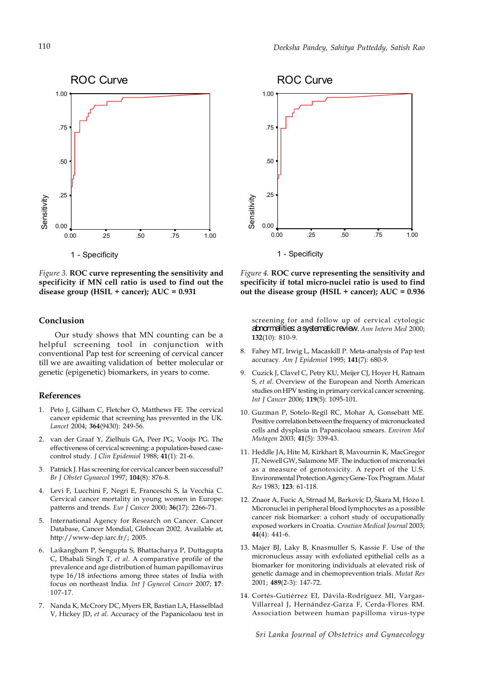

*Figure 3.* **ROC curve representing the sensitivity and specificity if MN cell ratio is used to find out the disease group (HSIL + cancer); AUC = 0.931**

#### **Conclusion**

Our study shows that MN counting can be a helpful screening tool in conjunction with conventional Pap test for screening of cervical cancer till we are awaiting validation of better molecular or genetic (epigenetic) biomarkers, in years to come.

# **References**

- 1. Peto J, Gilham C, Fletcher O, Matthews FE. The cervical cancer epidemic that screening has prevented in the UK. *Lancet* 2004; **364**(9430): 249-56.
- 2. van der Graaf Y, Zielhuis GA, Peer PG, Vooijs PG. The effectiveness of cervical screening: a population-based casecontrol study. *J Clin Epidemiol* 1988; **41**(1): 21-6.
- 3. Patnick J. Has screening for cervical cancer been successful? *Br J Obstet Gynaecol* 1997; **104**(8): 876-8.
- 4. Levi F, Lucchini F, Negri E, Franceschi S, la Vecchia C. Cervical cancer mortality in young women in Europe: patterns and trends. *Eur J Cancer* 2000; **36**(17): 2266-71.
- 5. International Agency for Research on Cancer. Cancer Database, Cancer Mondial, Globocan 2002. Available at, http://www-dep.iarc.fr/; 2005.
- 6. Laikangbam P, Sengupta S, Bhattacharya P, Duttagupta C, Dhabali Singh T, *et al*. A comparative profile of the prevalence and age distribution of human papillomavirus type 16/18 infections among three states of India with focus on northeast India. *Int J Gynecol Cancer* 2007; **17**: 107-17.
- 7. Nanda K, McCrory DC, Myers ER, Bastian LA, Hasselblad V, Hickey JD, *et al*. Accuracy of the Papanicolaou test in



*Figure 4.* **ROC curve representing the sensitivity and specificity if total micro-nuclei ratio is used to find out the disease group (HSIL + cancer); AUC = 0.936**

screening for and follow up of cervical cytologic abnormalities: a systematic review. *Ann Intern Med* 2000; **132**(10): 810-9.

- 8. Fahey MT, Irwig L, Macaskill P. Meta-analysis of Pap test accuracy. *Am J Epidemiol* 1995; **141**(7): 680-9.
- 9. Cuzick J, Clavel C, Petry KU, Meijer CJ, Hoyer H, Ratnam S, *et al*. Overview of the European and North American studies on HPV testing in primary cervical cancer screening. *Int J Cancer* 2006; **119**(5): 1095-101.
- 10. Guzman P, Sotelo-Regil RC, Mohar A, Gonsebatt ME. Positive correlation between the frequency of micronucleated cells and dysplasia in Papanicolaou smears. *Environ Mol Mutagen* 2003; **41**(5): 339-43.
- 11. Heddle JA, Hite M, Kirkhart B, Mavournin K, MacGregor JT, Newell GW, Salamone MF. The induction of micronuclei as a measure of genotoxicity. A report of the U.S. Environmental Protection Agency Gene-Tox Program. *Mutat Res* 1983; **123**: 61-118.
- 12. Znaor A, Fucic A, Strnad M, Barkovic D, Škara M, Hozo I. Micronuclei in peripheral blood lymphocytes as a possible cancer risk biomarker: a cohort study of occupationally exposed workers in Croatia. *Croatian Medical Journal* 2003; **44**(4): 441-6.
- 13. Majer BJ, Laky B, Knasmuller S, Kassie F. Use of the micronucleus assay with exfoliated epithelial cells as a biomarker for monitoring individuals at elevated risk of genetic damage and in chemoprevention trials. *Mutat Res* 2001; **489**(2-3): 147-72.
- 14. Cortés-Gutiérrez EI, Dávila-Rodríguez MI, Vargas-Villarreal J, Hernández-Garza F, Cerda-Flores RM. Association between human papilloma virus-type

*Sri Lanka Journal of Obstetrics and Gynaecology*